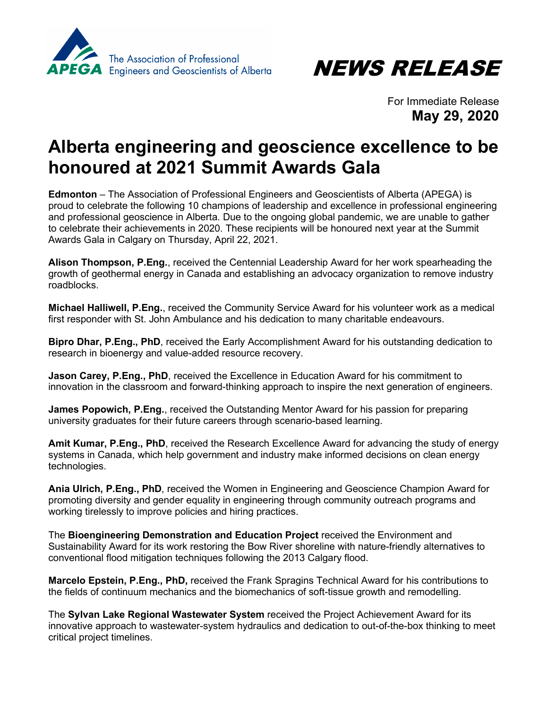



For Immediate Release **May 29, 2020**

## **Alberta engineering and geoscience excellence to be honoured at 2021 Summit Awards Gala**

**Edmonton** – The Association of Professional Engineers and Geoscientists of Alberta (APEGA) is proud to celebrate the following 10 champions of leadership and excellence in professional engineering and professional geoscience in Alberta. Due to the ongoing global pandemic, we are unable to gather to celebrate their achievements in 2020. These recipients will be honoured next year at the Summit Awards Gala in Calgary on Thursday, April 22, 2021.

**Alison Thompson, P.Eng.**, received the Centennial Leadership Award for her work spearheading the growth of geothermal energy in Canada and establishing an advocacy organization to remove industry roadblocks.

**Michael Halliwell, P.Eng.**, received the Community Service Award for his volunteer work as a medical first responder with St. John Ambulance and his dedication to many charitable endeavours.

**Bipro Dhar, P.Eng., PhD**, received the Early Accomplishment Award for his outstanding dedication to research in bioenergy and value-added resource recovery.

**Jason Carey, P.Eng., PhD**, received the Excellence in Education Award for his commitment to innovation in the classroom and forward-thinking approach to inspire the next generation of engineers.

**James Popowich, P.Eng.**, received the Outstanding Mentor Award for his passion for preparing university graduates for their future careers through scenario-based learning.

**Amit Kumar, P.Eng., PhD**, received the Research Excellence Award for advancing the study of energy systems in Canada, which help government and industry make informed decisions on clean energy technologies.

**Ania Ulrich, P.Eng., PhD**, received the Women in Engineering and Geoscience Champion Award for promoting diversity and gender equality in engineering through community outreach programs and working tirelessly to improve policies and hiring practices.

The **Bioengineering Demonstration and Education Project** received the Environment and Sustainability Award for its work restoring the Bow River shoreline with nature-friendly alternatives to conventional flood mitigation techniques following the 2013 Calgary flood.

**Marcelo Epstein, P.Eng., PhD,** received the Frank Spragins Technical Award for his contributions to the fields of continuum mechanics and the biomechanics of soft-tissue growth and remodelling.

The **Sylvan Lake Regional Wastewater System** received the Project Achievement Award for its innovative approach to wastewater-system hydraulics and dedication to out-of-the-box thinking to meet critical project timelines.